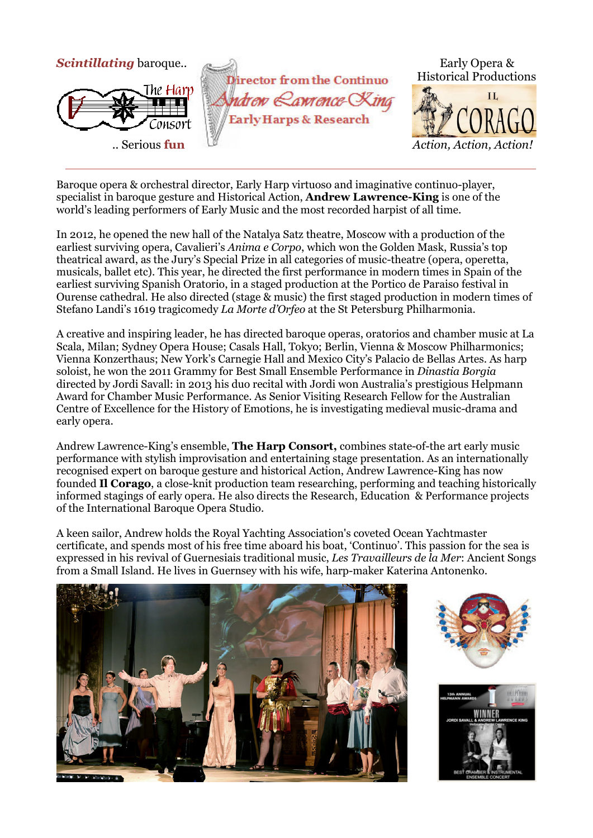

Baroque opera & orchestral director, Early Harp virtuoso and imaginative continuo-player, specialist in baroque gesture and Historical Action, **Andrew Lawrence-King** is one of the world's leading performers of Early Music and the most recorded harpist of all time.

In 2012, he opened the new hall of the Natalya Satz theatre, Moscow with a production of the earliest surviving opera, Cavalieri's *Anima e Corpo*, which won the Golden Mask, Russia's top theatrical award, as the Jury's Special Prize in all categories of music-theatre (opera, operetta, musicals, ballet etc). This year, he directed the first performance in modern times in Spain of the earliest surviving Spanish Oratorio, in a staged production at the Portico de Paraiso festival in Ourense cathedral. He also directed (stage & music) the first staged production in modern times of Stefano Landi's 1619 tragicomedy *La Morte d'Orfeo* at the St Petersburg Philharmonia.

A creative and inspiring leader, he has directed baroque operas, oratorios and chamber music at La Scala, Milan; Sydney Opera House; Casals Hall, Tokyo; Berlin, Vienna & Moscow Philharmonics; Vienna Konzerthaus; New York's Carnegie Hall and Mexico City's Palacio de Bellas Artes. As harp soloist, he won the 2011 Grammy for Best Small Ensemble Performance in *Dinastia Borgia* directed by Jordi Savall: in 2013 his duo recital with Jordi won Australia's prestigious Helpmann Award for Chamber Music Performance. As Senior Visiting Research Fellow for the Australian Centre of Excellence for the History of Emotions, he is investigating medieval music-drama and early opera.

Andrew Lawrence-King's ensemble, **The Harp Consort,** combines state-of-the art early music performance with stylish improvisation and entertaining stage presentation. As an internationally recognised expert on baroque gesture and historical Action, Andrew Lawrence-King has now founded **Il Corago**, a close-knit production team researching, performing and teaching historically informed stagings of early opera. He also directs the Research, Education & Performance projects of the International Baroque Opera Studio.

A keen sailor, Andrew holds the Royal Yachting Association's coveted Ocean Yachtmaster certificate, and spends most of his free time aboard his boat, 'Continuo'. This passion for the sea is expressed in his revival of Guernesiais traditional music, *Les Travailleurs de la Mer*: Ancient Songs from a Small Island. He lives in Guernsey with his wife, harp-maker Katerina Antonenko.





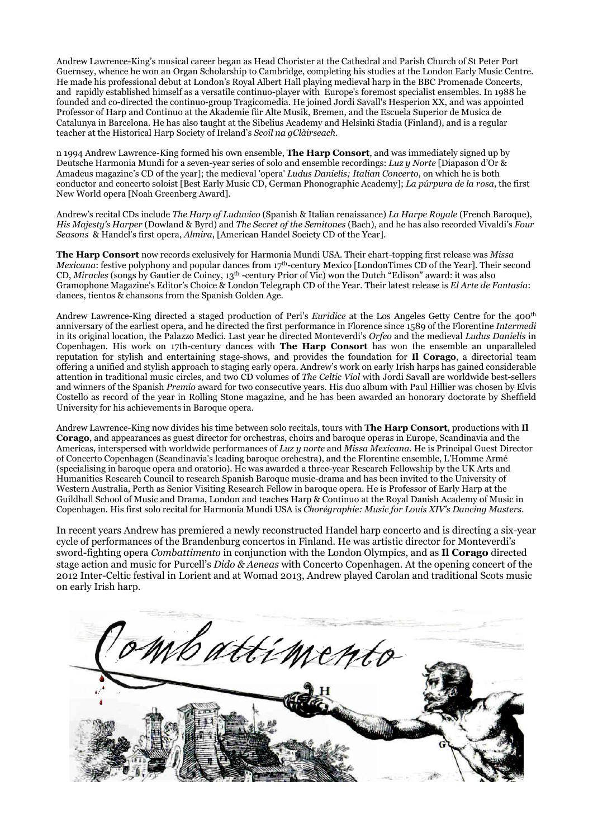Andrew Lawrence-King's musical career began as Head Chorister at the Cathedral and Parish Church of St Peter Port Guernsey, whence he won an Organ Scholarship to Cambridge, completing his studies at the London Early Music Centre. He made his professional debut at London's Royal Albert Hall playing medieval harp in the BBC Promenade Concerts, and rapidly established himself as a versatile continuo-player with Europe's foremost specialist ensembles. In 1988 he founded and co-directed the continuo-group Tragicomedia. He joined Jordi Savall's Hesperion XX, and was appointed Professor of Harp and Continuo at the Akademie für Alte Musik, Bremen, and the Escuela Superior de Musica de Catalunya in Barcelona. He has also taught at the Sibelius Academy and Helsinki Stadia (Finland), and is a regular teacher at the Historical Harp Society of Ireland's *Scoil na gClàirseach.* 

n 1994 Andrew Lawrence-King formed his own ensemble, **The Harp Consort**, and was immediately signed up by Deutsche Harmonia Mundi for a seven-year series of solo and ensemble recordings: *Luz y Norte* [Diapason d'Or & Amadeus magazine's CD of the year]; the medieval 'opera' *Ludus Danielis; Italian Concerto,* on which he is both conductor and concerto soloist [Best Early Music CD, German Phonographic Academy]; *La púrpura de la rosa*, the first New World opera [Noah Greenberg Award].

Andrew's recital CDs include *The Harp of Luduvico* (Spanish & Italian renaissance) *La Harpe Royale* (French Baroque), *His Majesty's Harper* (Dowland & Byrd) and *The Secret of the Semitones* (Bach), and he has also recorded Vivaldi's *Four Seasons* & Handel's first opera, *Almira*, [American Handel Society CD of the Year].

**The Harp Consort** now records exclusively for Harmonia Mundi USA. Their chart-topping first release was *Missa Mexicana*: festive polyphony and popular dances from 17<sup>th</sup>-century Mexico [LondonTimes CD of the Year]. Their second CD, *Miracles* (songs by Gautier de Coincy, 13th -century Prior of Vic) won the Dutch "Edison" award: it was also Gramophone Magazine's Editor's Choice & London Telegraph CD of the Year. Their latest release is *El Arte de Fantasía*: dances, tientos & chansons from the Spanish Golden Age.

Andrew Lawrence-King directed a staged production of Peri's *Euridice* at the Los Angeles Getty Centre for the 400th anniversary of the earliest opera, and he directed the first performance in Florence since 1589 of the Florentine *Intermedi* in its original location, the Palazzo Medici. Last year he directed Monteverdi's *Orfeo* and the medieval *Ludus Danielis* in Copenhagen. His work on 17th-century dances with **The Harp Consort** has won the ensemble an unparalleled reputation for stylish and entertaining stage-shows, and provides the foundation for **Il Corago**, a directorial team offering a unified and stylish approach to staging early opera. Andrew's work on early Irish harps has gained considerable attention in traditional music circles, and two CD volumes of *The Celtic Viol* with Jordi Savall are worldwide best-sellers and winners of the Spanish *Premio* award for two consecutive years. His duo album with Paul Hillier was chosen by Elvis Costello as record of the year in Rolling Stone magazine, and he has been awarded an honorary doctorate by Sheffield University for his achievements in Baroque opera.

Andrew Lawrence-King now divides his time between solo recitals, tours with **The Harp Consort**, productions with **Il Corago**, and appearances as guest director for orchestras, choirs and baroque operas in Europe, Scandinavia and the Americas, interspersed with worldwide performances of *Luz y norte* and *Missa Mexicana*. He is Principal Guest Director of Concerto Copenhagen (Scandinavia's leading baroque orchestra), and the Florentine ensemble, L'Homme Armé (specialising in baroque opera and oratorio). He was awarded a three-year Research Fellowship by the UK Arts and Humanities Research Council to research Spanish Baroque music-drama and has been invited to the University of Western Australia, Perth as Senior Visiting Research Fellow in baroque opera. He is Professor of Early Harp at the Guildhall School of Music and Drama, London and teaches Harp & Continuo at the Royal Danish Academy of Music in Copenhagen. His first solo recital for Harmonia Mundi USA is *Chorégraphie: Music for Louis XIV's Dancing Masters.* 

In recent years Andrew has premiered a newly reconstructed Handel harp concerto and is directing a six-year cycle of performances of the Brandenburg concertos in Finland. He was artistic director for Monteverdi's sword-fighting opera *Combattimento* in conjunction with the London Olympics, and as **Il Corago** directed stage action and music for Purcell's *Dido & Aeneas* with Concerto Copenhagen. At the opening concert of the 2012 Inter-Celtic festival in Lorient and at Womad 2013, Andrew played Carolan and traditional Scots music on early Irish harp.